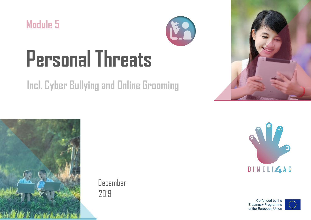



# **Personal Threats**

## **Incl. Cyber Bullying and Online Grooming**





December 2019



Co-funded by the Erasmus+ Programme of the European Union

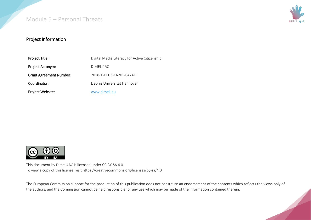

#### Project information

| Project Title:                 | Digital Media Literacy for Active Citizenship |
|--------------------------------|-----------------------------------------------|
| Project Acronym:               | DIMELI4AC                                     |
| <b>Grant Agreement Number:</b> | 2018-1-DE03-KA201-047411                      |
| Coordinator:                   | Liebniz Universität Hannover                  |
| Project Website:               | www.dimeli.eu                                 |



This document by Dimeli4AC is licensed under CC BY-SA 4.0. To view a copy of this license, visit https://creativecommons.org/licenses/by-sa/4.0

The European Commission support for the production of this publication does not constitute an endorsement of the contents which reflects the views only of the authors, and the Commission cannot be held responsible for any use which may be made of the information contained therein.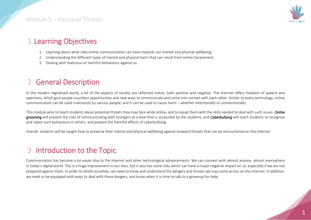

## 1 Learning Objectives

- 1. Learning about what risks online communication can have towards our mental and physical wellbeing;
- 2. Understanding the different types of mental and physical harm that can result from online harassment;
- 3. Dealing with malicious or harmful behaviours against us.

## 2 General Description

In the modern digitalised world, a lot of the aspects of society are reflected online, both positive and negative. The internet offers freedom of speech and openness, which give people countless opportunities and new ways to communicate and come into contact with each other. Similar to every technology, online communication can be used maliciously by various people, and it can be used to cause harm – whether intentionally or unintentionally.

This module aims to teach students about potential threats they may face while online, and to equip them with the skills needed to deal with such issues. *Online grooming* will present the risks of communicating with strangers at a level that is accessible by the students, and *Cyberbullying* will teach students to recognise and reject such behaviours in others, and present the harmful effects of cyberbullying.

Overall, students will be taught how to preserve their mental and physical wellbeing against outward threats that can be encountered on the internet.

## 3 Introduction to the Topic

Communication has become a lot easier due to the internet and other technological advancements. We can connect with almost anyone, almost everywhere in today's digital world. This is a huge improvement in our lives, but it also has some risks which can have a major negative impact on us, especially if we are not prepared against them. In order to shield ourselves, we need to know and understand the dangers and threats we may come across on the internet. In addition, we need to be equipped with ways to deal with these dangers, and know when it is time to talk to a grownup for help.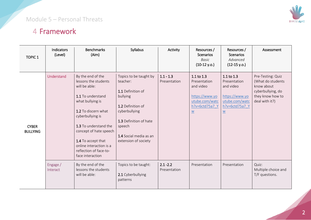

## 4 Framework

| <b>TOPIC 1</b>                  | Indicators<br>(Level) | <b>Benchmarks</b><br>(Aim)                                                                                                                                                                                                                                                                       | Syllabus                                                                                                                                                                                        | Activity                    | Resources /<br><b>Scenarios</b><br>Basic<br>$(10-12 y.o.)$                                                                       | Resources /<br><b>Scenarios</b><br>Advanced<br>$(12-15 y.o.)$                                                                    | Assessment                                                                                                      |
|---------------------------------|-----------------------|--------------------------------------------------------------------------------------------------------------------------------------------------------------------------------------------------------------------------------------------------------------------------------------------------|-------------------------------------------------------------------------------------------------------------------------------------------------------------------------------------------------|-----------------------------|----------------------------------------------------------------------------------------------------------------------------------|----------------------------------------------------------------------------------------------------------------------------------|-----------------------------------------------------------------------------------------------------------------|
| <b>CYBER</b><br><b>BULLYING</b> | Understand            | By the end of the<br>lessons the students<br>will be able:<br>1.1 To understand<br>what bullying is<br>1.2 To discern what<br>cyberbullying is<br>1.3 To understand the<br>concept of hate speech<br>1.4 To accept that<br>online interaction is a<br>reflection of face-to-<br>face interaction | Topics to be taught by<br>teacher:<br>1.1 Definition of<br>bullying<br>1.2 Definition of<br>cyberbullying<br>1.3 Definition of hate<br>speech<br>1.4 Social media as an<br>extension of society | $1.1 - 1.3$<br>Presentation | 1.1 to 1.3<br>Presentation<br>and video<br>https://www.yo<br>utube.com/watc<br>h?v=6ctd75a7 Y<br>$\underline{\underline{\sf W}}$ | 1.1 to 1.3<br>Presentation<br>and video<br>https://www.yo<br>utube.com/watc<br>h?v=6ctd75a7 Y<br>$\underline{\underline{\sf W}}$ | Pre-Testing: Quiz<br>(What do students<br>know about<br>cyberbullying, do<br>they know how to<br>deal with it?) |
|                                 | Engage /<br>Interact  | By the end of the<br>lessons the students<br>will be able:                                                                                                                                                                                                                                       | Topics to be taught:<br>2.1 Cyberbullying<br>patterns                                                                                                                                           | $2.1 - 2.2$<br>Presentation | Presentation                                                                                                                     | Presentation                                                                                                                     | Quiz:<br>Multiple choice and<br>T/F questions.                                                                  |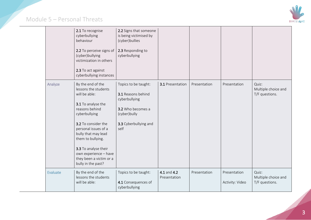

|          | 2.1 To recognise<br>cyberbullying<br>behaviour<br>2.2 To perceive signs of<br>(cyber)bullying<br>victimization in others<br>2.3 To act against<br>cyberbullying instances                                                                                                                                        | 2.2 Signs that someone<br>is being victimised by<br>(cyber)bullies<br>2.3 Responding to<br>cyberbullying                          |                             |              |                                 |                                                |
|----------|------------------------------------------------------------------------------------------------------------------------------------------------------------------------------------------------------------------------------------------------------------------------------------------------------------------|-----------------------------------------------------------------------------------------------------------------------------------|-----------------------------|--------------|---------------------------------|------------------------------------------------|
| Analyze  | By the end of the<br>lessons the students<br>will be able:<br>3.1 To analyse the<br>reasons behind<br>cyberbullying<br>3.2 To consider the<br>personal issues of a<br>bully that may lead<br>them to bullying.<br>3.3 To analyse their<br>own experience - have<br>they been a victim or a<br>bully in the past? | Topics to be taught:<br>3.1 Reasons behind<br>cyberbullying<br>3.2 Who becomes a<br>(cyber)bully<br>3.3 Cyberbullying and<br>self | 3.1 Presentation            | Presentation | Presentation                    | Quiz:<br>Multiple choice and<br>T/F questions. |
| Evaluate | By the end of the<br>lessons the students<br>will be able:                                                                                                                                                                                                                                                       | Topics to be taught:<br>4.1 Consequences of<br>cyberbullying                                                                      | 4.1 and 4.2<br>Presentation | Presentation | Presentation<br>Activity: Video | Quiz:<br>Multiple choice and<br>T/F questions. |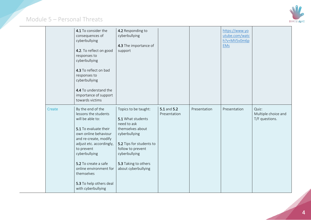

|        | 4.1 To consider the<br>consequences of<br>cyberbullying<br>4.2. To reflect on good<br>responses to<br>cyberbullying<br>4.3 To reflect on bad<br>responses to<br>cyberbullying<br>4.4 To understand the<br>importance of support<br>towards victims                                                                  | 4.2 Responding to<br>cyberbullying<br>4.3 The importance of<br>support                                                                                                                                         |                             |              | https://www.yo<br>utube.com/watc<br>h?v=MV5v0m6p<br><b>EMs</b> |                                                |
|--------|---------------------------------------------------------------------------------------------------------------------------------------------------------------------------------------------------------------------------------------------------------------------------------------------------------------------|----------------------------------------------------------------------------------------------------------------------------------------------------------------------------------------------------------------|-----------------------------|--------------|----------------------------------------------------------------|------------------------------------------------|
| Create | By the end of the<br>lessons the students<br>will be able to:<br>5.1 To evaluate their<br>own online behaviour<br>and re-create, modify<br>adjust etc. accordingly,<br>to prevent<br>cyberbullying<br>5.2 To create a safe<br>online environment for<br>themselves<br>5.3 To help others deal<br>with cyberbullying | Topics to be taught:<br>5.1 What students<br>need to ask<br>themselves about<br>cyberbullying<br>5.2 Tips for students to<br>follow to prevent<br>cyberbullying<br>5.3 Taking to others<br>about cyberbullying | 5.1 and 5.2<br>Presentation | Presentation | Presentation                                                   | Quiz:<br>Multiple choice and<br>T/F questions. |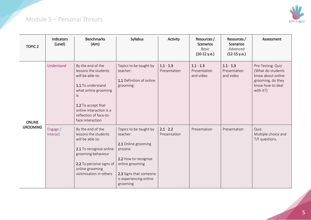

| <b>TOPIC 2</b>  | Indicators<br>(Level) | <b>Benchmarks</b><br>(Aim)                                                                                                                                                                                       | Syllabus                                                                                                                                                                        | Activity                    | Resources /<br><b>Scenarios</b><br>Basic<br>$(10-12 y.o.)$ | Resources /<br><b>Scenarios</b><br>Advanced<br>$(12-15 y.o.)$ | Assessment                                                                                                        |
|-----------------|-----------------------|------------------------------------------------------------------------------------------------------------------------------------------------------------------------------------------------------------------|---------------------------------------------------------------------------------------------------------------------------------------------------------------------------------|-----------------------------|------------------------------------------------------------|---------------------------------------------------------------|-------------------------------------------------------------------------------------------------------------------|
| <b>ONLINE</b>   | Understand            | By the end of the<br>lessons the students<br>will be able to:<br>1.1 To understand<br>what online grooming<br>İS.<br>1.2 To accept that<br>online interaction is a<br>reflection of face-to-<br>face interaction | Topics to be taught by<br>teacher:<br>1.1 Definition of online<br>grooming                                                                                                      | $1.1 - 1.3$<br>Presentation | $1.1 - 1.3$<br>Presentation<br>and video                   | $1.1 - 1.3$<br>Presentation<br>and video                      | Pre-Testing: Quiz<br>(What do students<br>know about online<br>grooming, do they<br>know how to deal<br>with it?) |
| <b>GROOMING</b> | Engage /<br>Interact  | By the end of the<br>lessons the students<br>will be able to:<br>2.1 To recognise online<br>grooming behaviour<br>2.2 To perceive signs of<br>online grooming<br>victimization in others                         | Topics to be taught by<br>teacher:<br>2.1 Online grooming<br>process<br>2.2 How to recognise<br>online grooming<br>2.3 Signs that someone<br>is experiencing online<br>grooming | $2.1 - 2.2$<br>Presentation | Presentation                                               | Presentation                                                  | Quiz:<br>Multiple choice and<br>T/F questions.                                                                    |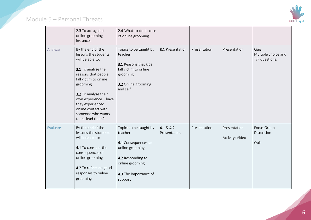

|          | 2.3 To act against<br>online grooming<br>instances                                                                                                                                                                                                                                   | 2.4 What to do in case<br>of online grooming                                                                                                             |                           |              |                                 |                                                |
|----------|--------------------------------------------------------------------------------------------------------------------------------------------------------------------------------------------------------------------------------------------------------------------------------------|----------------------------------------------------------------------------------------------------------------------------------------------------------|---------------------------|--------------|---------------------------------|------------------------------------------------|
| Analyze  | By the end of the<br>lessons the students<br>will be able to:<br>3.1 To analyse the<br>reasons that people<br>fall victim to online<br>grooming<br>3.2 To analyse their<br>own experience - have<br>they experienced<br>online contact with<br>someone who wants<br>to mislead them? | Topics to be taught by<br>teacher:<br>3.1 Reasons that kids<br>fall victim to online<br>grooming<br>3.2 Online grooming<br>and self                      | 3.1 Presentation          | Presentation | Presentation                    | Quiz:<br>Multiple choice and<br>T/F questions. |
| Evaluate | By the end of the<br>lessons the students<br>will be able to:<br>4.1 To consider the<br>consequences of<br>online grooming<br>4.2 To reflect on good<br>responses to online<br>grooming                                                                                              | Topics to be taught by<br>teacher:<br>4.1 Consequences of<br>online grooming<br>4.2 Responding to<br>online grooming<br>4.3 The importance of<br>support | 4.1 & 4.2<br>Presentation | Presentation | Presentation<br>Activity: Video | Focus Group<br>Discussion<br>Quiz              |